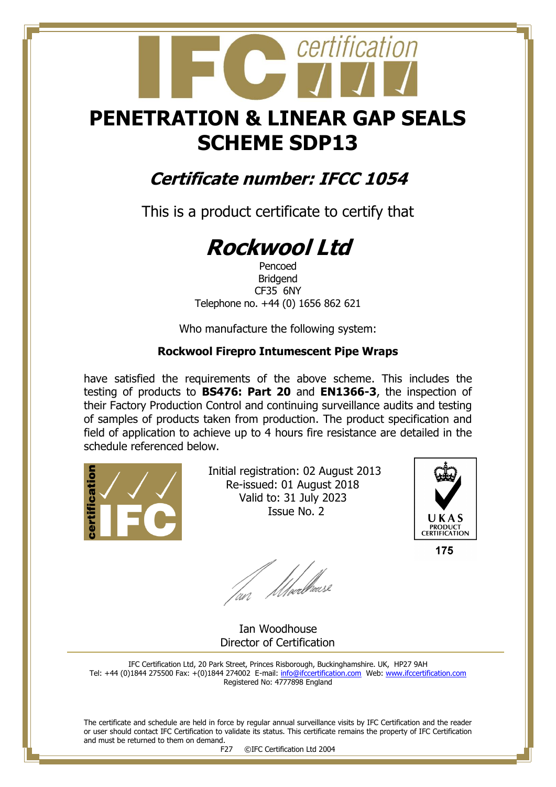## **PENETRATION & LINEAR GAP SEALS SCHEME SDP13**

certification

### **Certificate number: IFCC 1054**

This is a product certificate to certify that

# **Rockwool Ltd**

Pencoed Bridgend CF35 6NY Telephone no. +44 (0) 1656 862 621

Who manufacture the following system:

#### **Rockwool Firepro Intumescent Pipe Wraps**

have satisfied the requirements of the above scheme. This includes the testing of products to **BS476: Part 20** and **EN1366-3**, the inspection of their Factory Production Control and continuing surveillance audits and testing of samples of products taken from production. The product specification and field of application to achieve up to 4 hours fire resistance are detailed in the schedule referenced below.



 Initial registration: 02 August 2013 Re-issued: 01 August 2018 Valid to: 31 July 2023 Issue No. 2



175

fan Moedliase

 Ian Woodhouse Director of Certification

IFC Certification Ltd, 20 Park Street, Princes Risborough, Buckinghamshire. UK, HP27 9AH Tel: +44 (0)1844 275500 Fax: +(0)1844 274002 E-mail[: info@ifccertification.com](mailto:info@ifccertification.com) Web: [www.ifccertification.com](http://www.ifccertification.com/) Registered No: 4777898 England

The certificate and schedule are held in force by regular annual surveillance visits by IFC Certification and the reader or user should contact IFC Certification to validate its status. This certificate remains the property of IFC Certification and must be returned to them on demand.